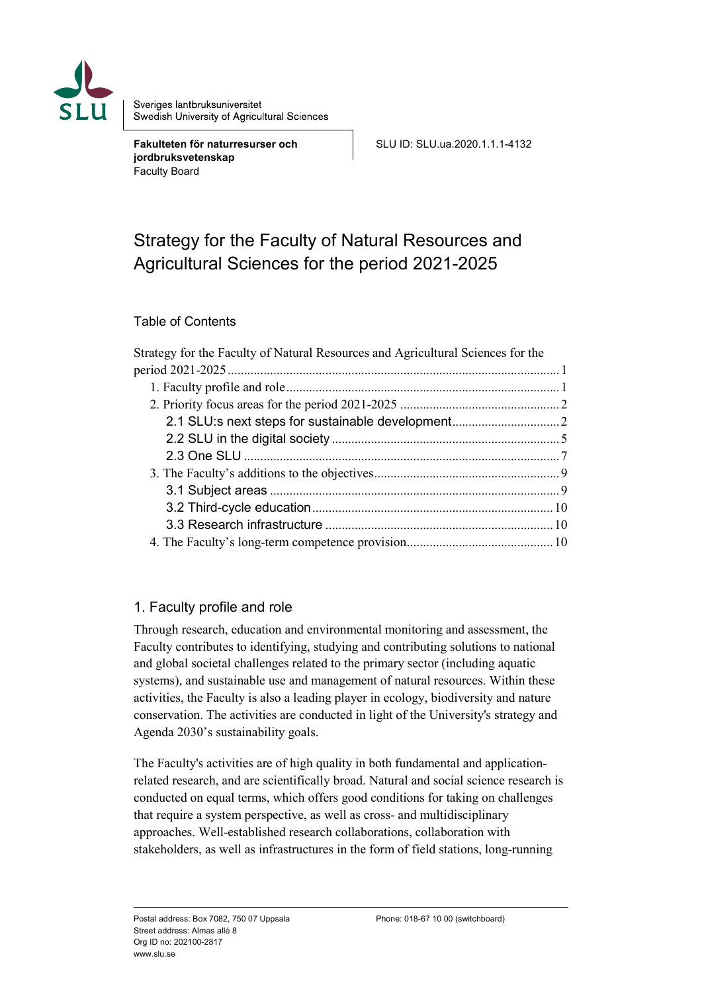

Sveriges lantbruksuniversitet Swedish University of Agricultural Sciences

**Fakulteten för naturresurser och jordbruksvetenskap** Faculty Board

SLU ID: SLU.ua.2020.1.1.1-4132

# <span id="page-0-0"></span>Strategy for the Faculty of Natural Resources and Agricultural Sciences for the period 2021-2025

### Table of Contents

| Strategy for the Faculty of Natural Resources and Agricultural Sciences for the |  |
|---------------------------------------------------------------------------------|--|
|                                                                                 |  |
|                                                                                 |  |
|                                                                                 |  |
|                                                                                 |  |
|                                                                                 |  |
|                                                                                 |  |
|                                                                                 |  |
|                                                                                 |  |
|                                                                                 |  |
|                                                                                 |  |
|                                                                                 |  |

### <span id="page-0-1"></span>1. Faculty profile and role

Through research, education and environmental monitoring and assessment, the Faculty contributes to identifying, studying and contributing solutions to national and global societal challenges related to the primary sector (including aquatic systems), and sustainable use and management of natural resources. Within these activities, the Faculty is also a leading player in ecology, biodiversity and nature conservation. The activities are conducted in light of the University's strategy and Agenda 2030's sustainability goals.

The Faculty's activities are of high quality in both fundamental and applicationrelated research, and are scientifically broad. Natural and social science research is conducted on equal terms, which offers good conditions for taking on challenges that require a system perspective, as well as cross- and multidisciplinary approaches. Well-established research collaborations, collaboration with stakeholders, as well as infrastructures in the form of field stations, long-running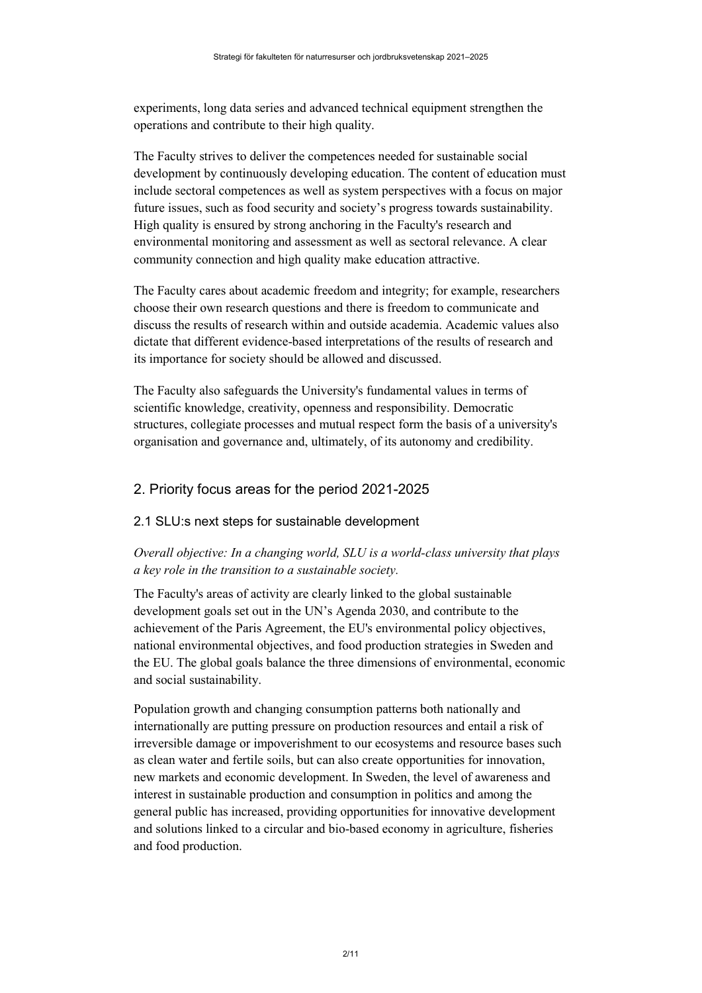experiments, long data series and advanced technical equipment strengthen the operations and contribute to their high quality.

The Faculty strives to deliver the competences needed for sustainable social development by continuously developing education. The content of education must include sectoral competences as well as system perspectives with a focus on major future issues, such as food security and society's progress towards sustainability. High quality is ensured by strong anchoring in the Faculty's research and environmental monitoring and assessment as well as sectoral relevance. A clear community connection and high quality make education attractive.

The Faculty cares about academic freedom and integrity; for example, researchers choose their own research questions and there is freedom to communicate and discuss the results of research within and outside academia. Academic values also dictate that different evidence-based interpretations of the results of research and its importance for society should be allowed and discussed.

The Faculty also safeguards the University's fundamental values in terms of scientific knowledge, creativity, openness and responsibility. Democratic structures, collegiate processes and mutual respect form the basis of a university's organisation and governance and, ultimately, of its autonomy and credibility.

### <span id="page-1-0"></span>2. Priority focus areas for the period 2021-2025

### <span id="page-1-1"></span>2.1 SLU:s next steps for sustainable development

### *Overall objective: In a changing world, SLU is a world-class university that plays a key role in the transition to a sustainable society.*

The Faculty's areas of activity are clearly linked to the global sustainable development goals set out in the UN's Agenda 2030, and contribute to the achievement of the Paris Agreement, the EU's environmental policy objectives, national environmental objectives, and food production strategies in Sweden and the EU. The global goals balance the three dimensions of environmental, economic and social sustainability.

Population growth and changing consumption patterns both nationally and internationally are putting pressure on production resources and entail a risk of irreversible damage or impoverishment to our ecosystems and resource bases such as clean water and fertile soils, but can also create opportunities for innovation, new markets and economic development. In Sweden, the level of awareness and interest in sustainable production and consumption in politics and among the general public has increased, providing opportunities for innovative development and solutions linked to a circular and bio-based economy in agriculture, fisheries and food production.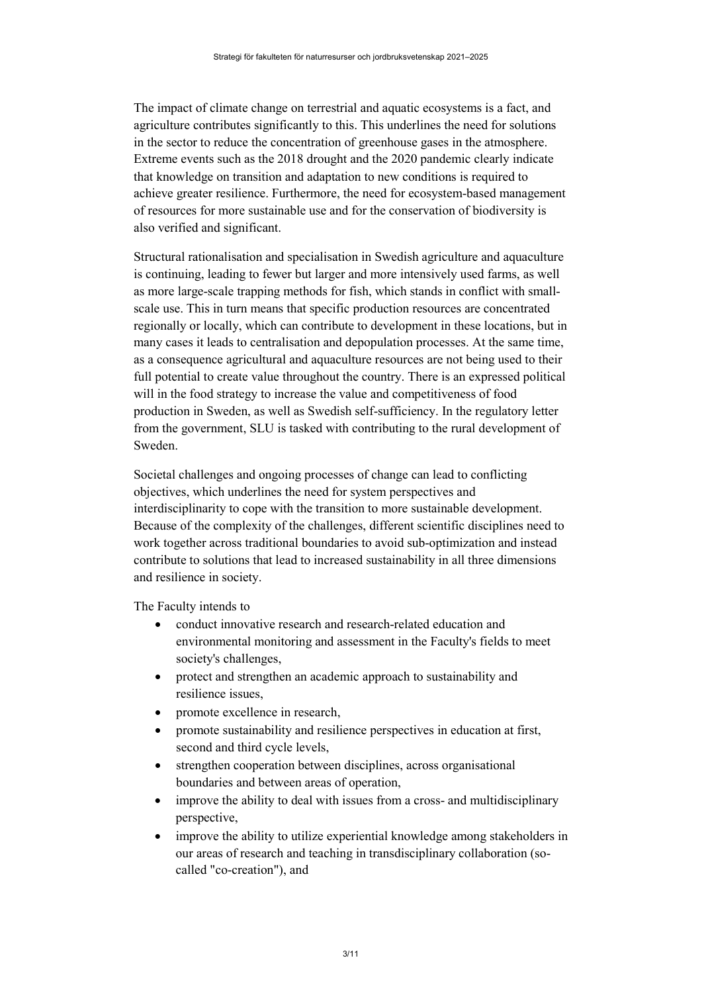The impact of climate change on terrestrial and aquatic ecosystems is a fact, and agriculture contributes significantly to this. This underlines the need for solutions in the sector to reduce the concentration of greenhouse gases in the atmosphere. Extreme events such as the 2018 drought and the 2020 pandemic clearly indicate that knowledge on transition and adaptation to new conditions is required to achieve greater resilience. Furthermore, the need for ecosystem-based management of resources for more sustainable use and for the conservation of biodiversity is also verified and significant.

Structural rationalisation and specialisation in Swedish agriculture and aquaculture is continuing, leading to fewer but larger and more intensively used farms, as well as more large-scale trapping methods for fish, which stands in conflict with smallscale use. This in turn means that specific production resources are concentrated regionally or locally, which can contribute to development in these locations, but in many cases it leads to centralisation and depopulation processes. At the same time, as a consequence agricultural and aquaculture resources are not being used to their full potential to create value throughout the country. There is an expressed political will in the food strategy to increase the value and competitiveness of food production in Sweden, as well as Swedish self-sufficiency. In the regulatory letter from the government, SLU is tasked with contributing to the rural development of Sweden.

Societal challenges and ongoing processes of change can lead to conflicting objectives, which underlines the need for system perspectives and interdisciplinarity to cope with the transition to more sustainable development. Because of the complexity of the challenges, different scientific disciplines need to work together across traditional boundaries to avoid sub-optimization and instead contribute to solutions that lead to increased sustainability in all three dimensions and resilience in society.

The Faculty intends to

- conduct innovative research and research-related education and environmental monitoring and assessment in the Faculty's fields to meet society's challenges,
- protect and strengthen an academic approach to sustainability and resilience issues,
- promote excellence in research,
- promote sustainability and resilience perspectives in education at first, second and third cycle levels,
- strengthen cooperation between disciplines, across organisational boundaries and between areas of operation,
- improve the ability to deal with issues from a cross- and multidisciplinary perspective,
- improve the ability to utilize experiential knowledge among stakeholders in our areas of research and teaching in transdisciplinary collaboration (socalled "co-creation"), and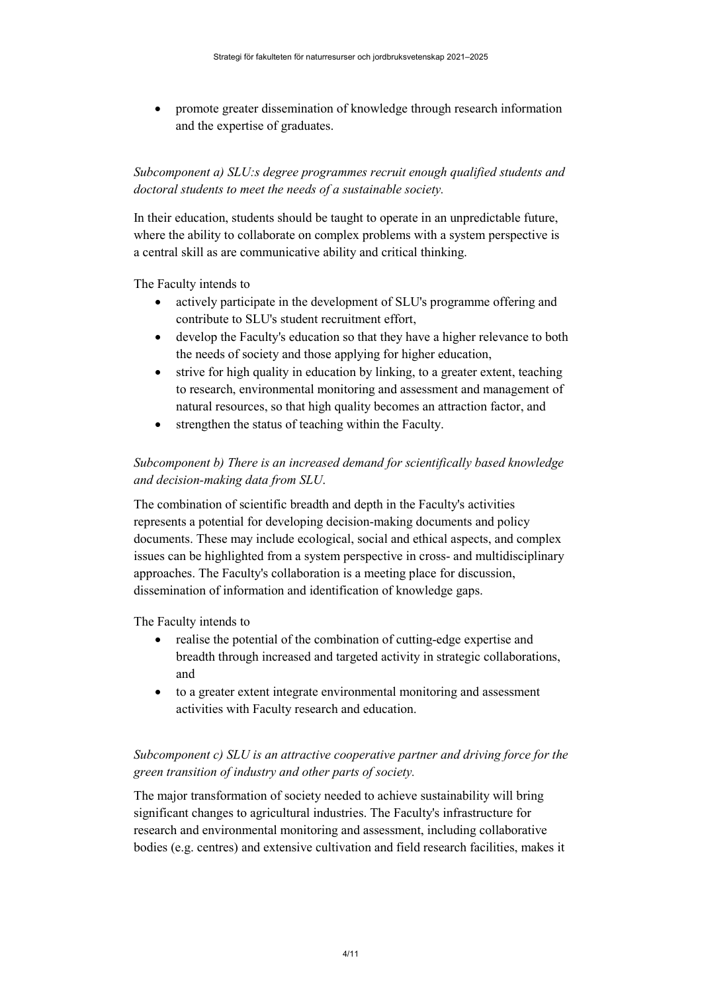• promote greater dissemination of knowledge through research information and the expertise of graduates.

*Subcomponent a) SLU:s degree programmes recruit enough qualified students and doctoral students to meet the needs of a sustainable society.*

In their education, students should be taught to operate in an unpredictable future, where the ability to collaborate on complex problems with a system perspective is a central skill as are communicative ability and critical thinking.

The Faculty intends to

- actively participate in the development of SLU's programme offering and contribute to SLU's student recruitment effort,
- develop the Faculty's education so that they have a higher relevance to both the needs of society and those applying for higher education,
- strive for high quality in education by linking, to a greater extent, teaching to research, environmental monitoring and assessment and management of natural resources, so that high quality becomes an attraction factor, and
- strengthen the status of teaching within the Faculty.

### *Subcomponent b) There is an increased demand for scientifically based knowledge and decision-making data from SLU*.

The combination of scientific breadth and depth in the Faculty's activities represents a potential for developing decision-making documents and policy documents. These may include ecological, social and ethical aspects, and complex issues can be highlighted from a system perspective in cross- and multidisciplinary approaches. The Faculty's collaboration is a meeting place for discussion, dissemination of information and identification of knowledge gaps.

The Faculty intends to

- realise the potential of the combination of cutting-edge expertise and breadth through increased and targeted activity in strategic collaborations, and
- to a greater extent integrate environmental monitoring and assessment activities with Faculty research and education.

### *Subcomponent c) SLU is an attractive cooperative partner and driving force for the green transition of industry and other parts of society.*

The major transformation of society needed to achieve sustainability will bring significant changes to agricultural industries. The Faculty's infrastructure for research and environmental monitoring and assessment, including collaborative bodies (e.g. centres) and extensive cultivation and field research facilities, makes it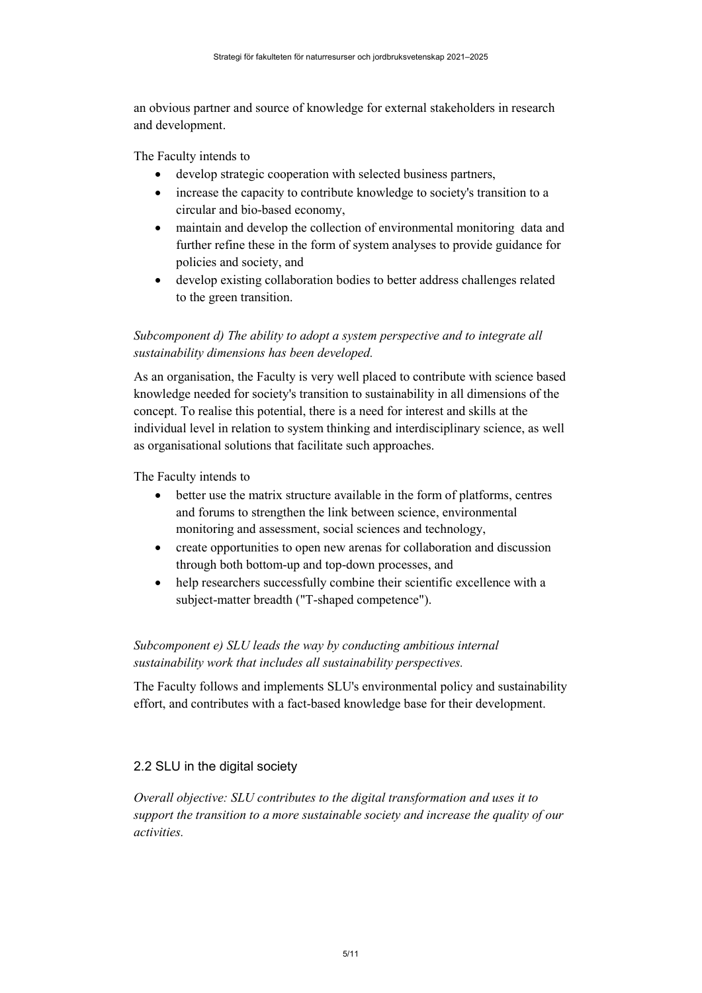an obvious partner and source of knowledge for external stakeholders in research and development.

The Faculty intends to

- develop strategic cooperation with selected business partners,
- increase the capacity to contribute knowledge to society's transition to a circular and bio-based economy,
- maintain and develop the collection of environmental monitoring data and further refine these in the form of system analyses to provide guidance for policies and society, and
- develop existing collaboration bodies to better address challenges related to the green transition.

# *Subcomponent d) The ability to adopt a system perspective and to integrate all sustainability dimensions has been developed.*

As an organisation, the Faculty is very well placed to contribute with science based knowledge needed for society's transition to sustainability in all dimensions of the concept. To realise this potential, there is a need for interest and skills at the individual level in relation to system thinking and interdisciplinary science, as well as organisational solutions that facilitate such approaches.

The Faculty intends to

- better use the matrix structure available in the form of platforms, centres and forums to strengthen the link between science, environmental monitoring and assessment, social sciences and technology,
- create opportunities to open new arenas for collaboration and discussion through both bottom-up and top-down processes, and
- help researchers successfully combine their scientific excellence with a subject-matter breadth ("T-shaped competence").

### *Subcomponent e) SLU leads the way by conducting ambitious internal sustainability work that includes all sustainability perspectives.*

The Faculty follows and implements SLU's environmental policy and sustainability effort, and contributes with a fact-based knowledge base for their development.

### <span id="page-4-0"></span>2.2 SLU in the digital society

*Overall objective: SLU contributes to the digital transformation and uses it to support the transition to a more sustainable society and increase the quality of our activities.*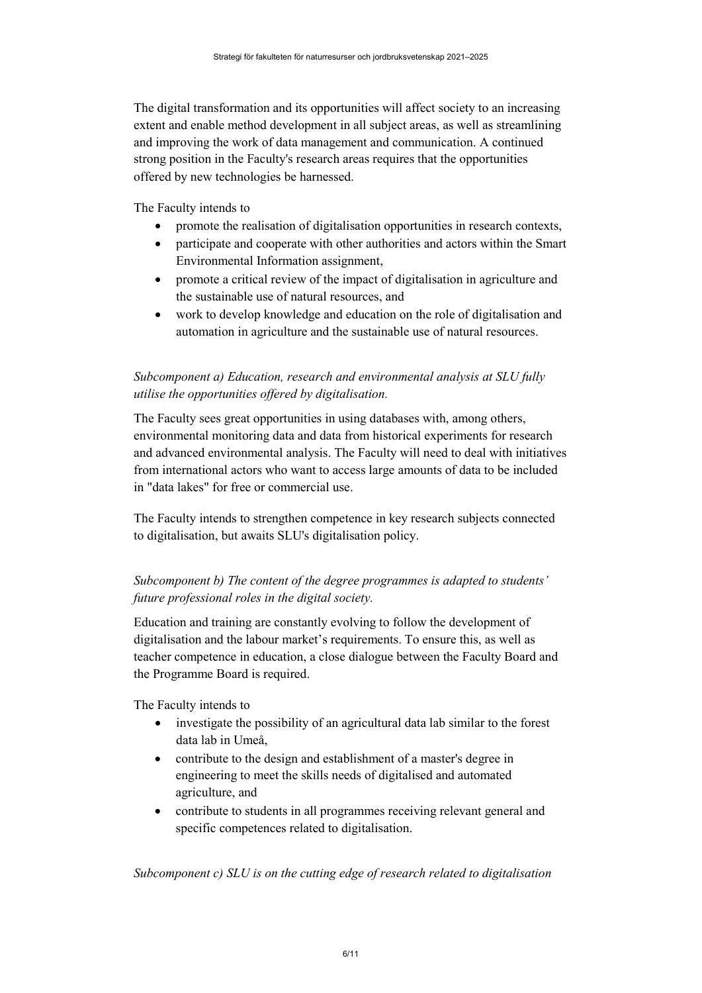The digital transformation and its opportunities will affect society to an increasing extent and enable method development in all subject areas, as well as streamlining and improving the work of data management and communication. A continued strong position in the Faculty's research areas requires that the opportunities offered by new technologies be harnessed.

The Faculty intends to

- promote the realisation of digitalisation opportunities in research contexts,
- participate and cooperate with other authorities and actors within the Smart Environmental Information assignment,
- promote a critical review of the impact of digitalisation in agriculture and the sustainable use of natural resources, and
- work to develop knowledge and education on the role of digitalisation and automation in agriculture and the sustainable use of natural resources.

## *Subcomponent a) Education, research and environmental analysis at SLU fully utilise the opportunities offered by digitalisation.*

The Faculty sees great opportunities in using databases with, among others, environmental monitoring data and data from historical experiments for research and advanced environmental analysis. The Faculty will need to deal with initiatives from international actors who want to access large amounts of data to be included in "data lakes" for free or commercial use.

The Faculty intends to strengthen competence in key research subjects connected to digitalisation, but awaits SLU's digitalisation policy.

# *Subcomponent b) The content of the degree programmes is adapted to students' future professional roles in the digital society.*

Education and training are constantly evolving to follow the development of digitalisation and the labour market's requirements. To ensure this, as well as teacher competence in education, a close dialogue between the Faculty Board and the Programme Board is required.

The Faculty intends to

- investigate the possibility of an agricultural data lab similar to the forest data lab in Umeå,
- contribute to the design and establishment of a master's degree in engineering to meet the skills needs of digitalised and automated agriculture, and
- contribute to students in all programmes receiving relevant general and specific competences related to digitalisation.

*Subcomponent c) SLU is on the cutting edge of research related to digitalisation*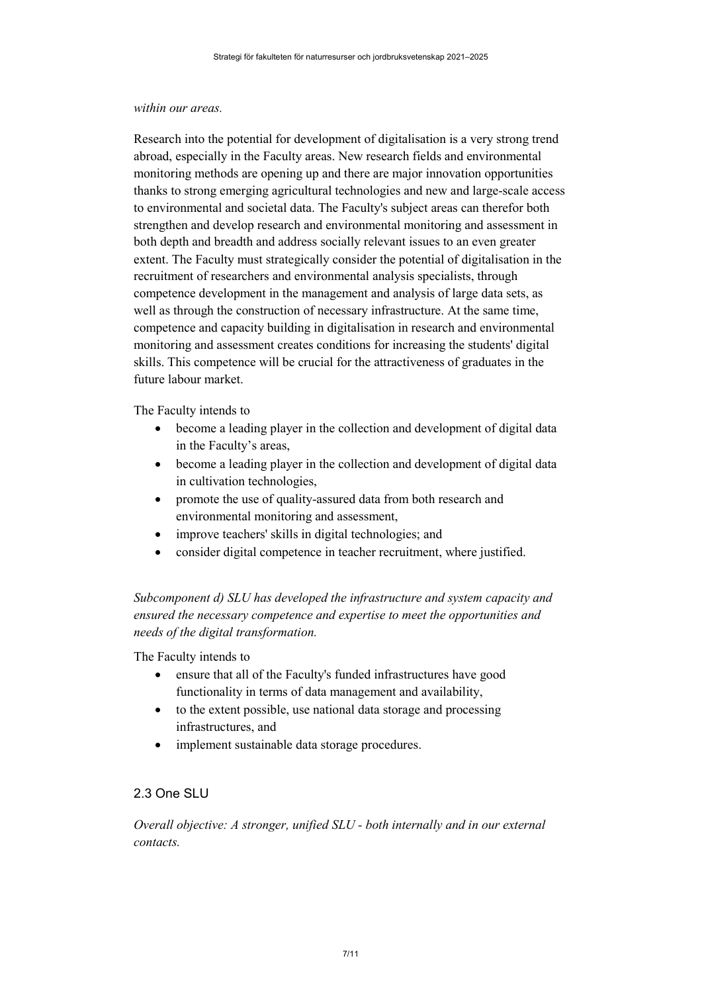#### *within our areas.*

Research into the potential for development of digitalisation is a very strong trend abroad, especially in the Faculty areas. New research fields and environmental monitoring methods are opening up and there are major innovation opportunities thanks to strong emerging agricultural technologies and new and large-scale access to environmental and societal data. The Faculty's subject areas can therefor both strengthen and develop research and environmental monitoring and assessment in both depth and breadth and address socially relevant issues to an even greater extent. The Faculty must strategically consider the potential of digitalisation in the recruitment of researchers and environmental analysis specialists, through competence development in the management and analysis of large data sets, as well as through the construction of necessary infrastructure. At the same time, competence and capacity building in digitalisation in research and environmental monitoring and assessment creates conditions for increasing the students' digital skills. This competence will be crucial for the attractiveness of graduates in the future labour market.

The Faculty intends to

- become a leading player in the collection and development of digital data in the Faculty's areas,
- become a leading player in the collection and development of digital data in cultivation technologies,
- promote the use of quality-assured data from both research and environmental monitoring and assessment,
- improve teachers' skills in digital technologies; and
- consider digital competence in teacher recruitment, where justified.

*Subcomponent d) SLU has developed the infrastructure and system capacity and ensured the necessary competence and expertise to meet the opportunities and needs of the digital transformation.*

The Faculty intends to

- ensure that all of the Faculty's funded infrastructures have good functionality in terms of data management and availability,
- to the extent possible, use national data storage and processing infrastructures, and
- implement sustainable data storage procedures.

### <span id="page-6-0"></span>2.3 One SLU

*Overall objective: A stronger, unified SLU - both internally and in our external contacts.*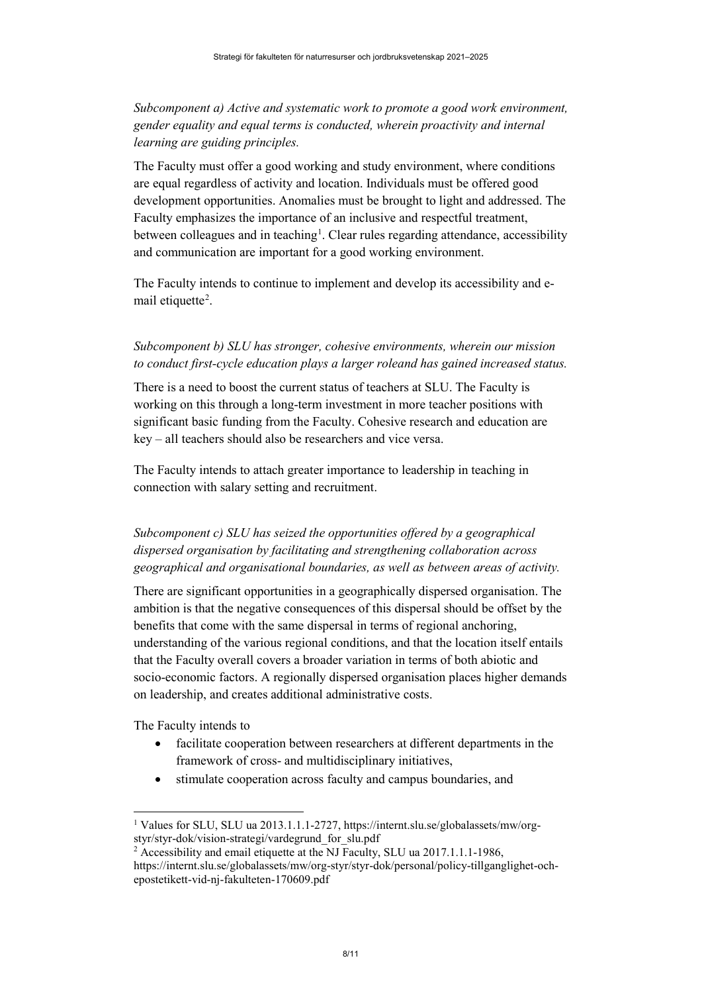### *Subcomponent a) Active and systematic work to promote a good work environment, gender equality and equal terms is conducted, wherein proactivity and internal learning are guiding principles.*

The Faculty must offer a good working and study environment, where conditions are equal regardless of activity and location. Individuals must be offered good development opportunities. Anomalies must be brought to light and addressed. The Faculty emphasizes the importance of an inclusive and respectful treatment, between colleagues and in teaching<sup>[1](#page-7-0)</sup>. Clear rules regarding attendance, accessibility and communication are important for a good working environment.

The Faculty intends to continue to implement and develop its accessibility and e-mail etiquette<sup>[2](#page-7-1)</sup>.

## *Subcomponent b) SLU has stronger, cohesive environments, wherein our mission to conduct first-cycle education plays a larger roleand has gained increased status.*

There is a need to boost the current status of teachers at SLU. The Faculty is working on this through a long-term investment in more teacher positions with significant basic funding from the Faculty. Cohesive research and education are key – all teachers should also be researchers and vice versa.

The Faculty intends to attach greater importance to leadership in teaching in connection with salary setting and recruitment.

# *Subcomponent c) SLU has seized the opportunities offered by a geographical dispersed organisation by facilitating and strengthening collaboration across geographical and organisational boundaries, as well as between areas of activity.*

There are significant opportunities in a geographically dispersed organisation. The ambition is that the negative consequences of this dispersal should be offset by the benefits that come with the same dispersal in terms of regional anchoring, understanding of the various regional conditions, and that the location itself entails that the Faculty overall covers a broader variation in terms of both abiotic and socio-economic factors. A regionally dispersed organisation places higher demands on leadership, and creates additional administrative costs.

The Faculty intends to

- facilitate cooperation between researchers at different departments in the framework of cross- and multidisciplinary initiatives,
- stimulate cooperation across faculty and campus boundaries, and

<span id="page-7-0"></span><sup>&</sup>lt;sup>1</sup> Values for SLU, SLU ua 2013.1.1.1-2727, https://internt.slu.se/globalassets/mw/orgstyr/styr-dok/vision-strategi/vardegrund\_for\_slu.pdf

<span id="page-7-1"></span><sup>&</sup>lt;sup>2</sup> Accessibility and email etiquette at the NJ Faculty, SLU ua 2017.1.1.1-1986, https://internt.slu.se/globalassets/mw/org-styr/styr-dok/personal/policy-tillganglighet-ochepostetikett-vid-nj-fakulteten-170609.pdf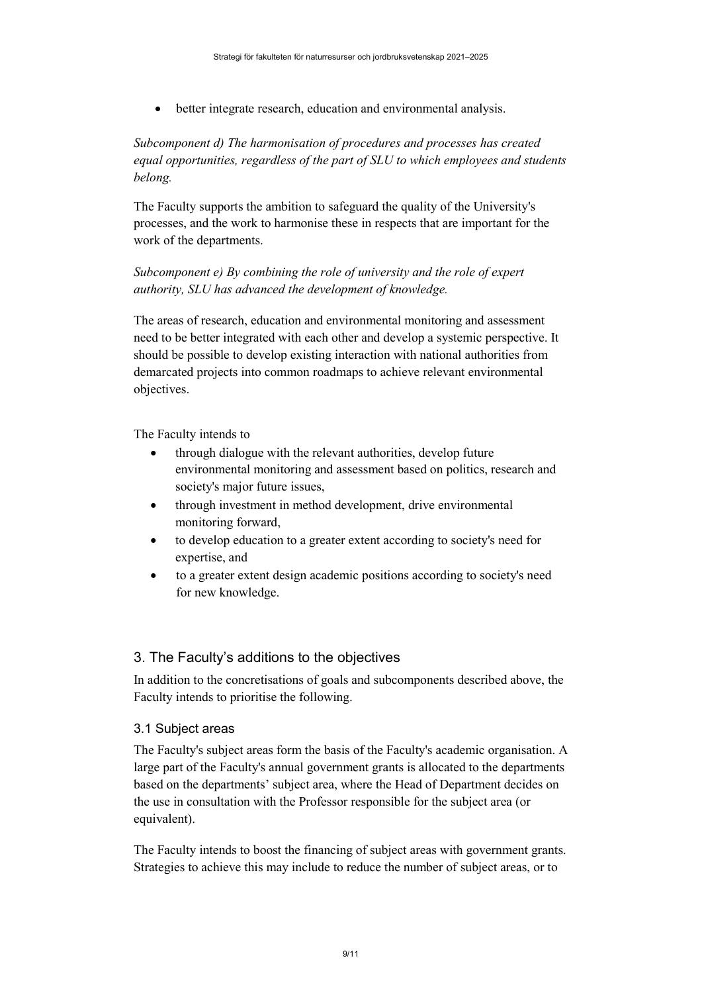• better integrate research, education and environmental analysis.

### *Subcomponent d) The harmonisation of procedures and processes has created equal opportunities, regardless of the part of SLU to which employees and students belong.*

The Faculty supports the ambition to safeguard the quality of the University's processes, and the work to harmonise these in respects that are important for the work of the departments.

### *Subcomponent e) By combining the role of university and the role of expert authority, SLU has advanced the development of knowledge.*

The areas of research, education and environmental monitoring and assessment need to be better integrated with each other and develop a systemic perspective. It should be possible to develop existing interaction with national authorities from demarcated projects into common roadmaps to achieve relevant environmental objectives.

The Faculty intends to

- through dialogue with the relevant authorities, develop future environmental monitoring and assessment based on politics, research and society's major future issues,
- through investment in method development, drive environmental monitoring forward,
- to develop education to a greater extent according to society's need for expertise, and
- to a greater extent design academic positions according to society's need for new knowledge.

### <span id="page-8-0"></span>3. The Faculty's additions to the objectives

In addition to the concretisations of goals and subcomponents described above, the Faculty intends to prioritise the following.

### <span id="page-8-1"></span>3.1 Subject areas

The Faculty's subject areas form the basis of the Faculty's academic organisation. A large part of the Faculty's annual government grants is allocated to the departments based on the departments' subject area, where the Head of Department decides on the use in consultation with the Professor responsible for the subject area (or equivalent).

The Faculty intends to boost the financing of subject areas with government grants. Strategies to achieve this may include to reduce the number of subject areas, or to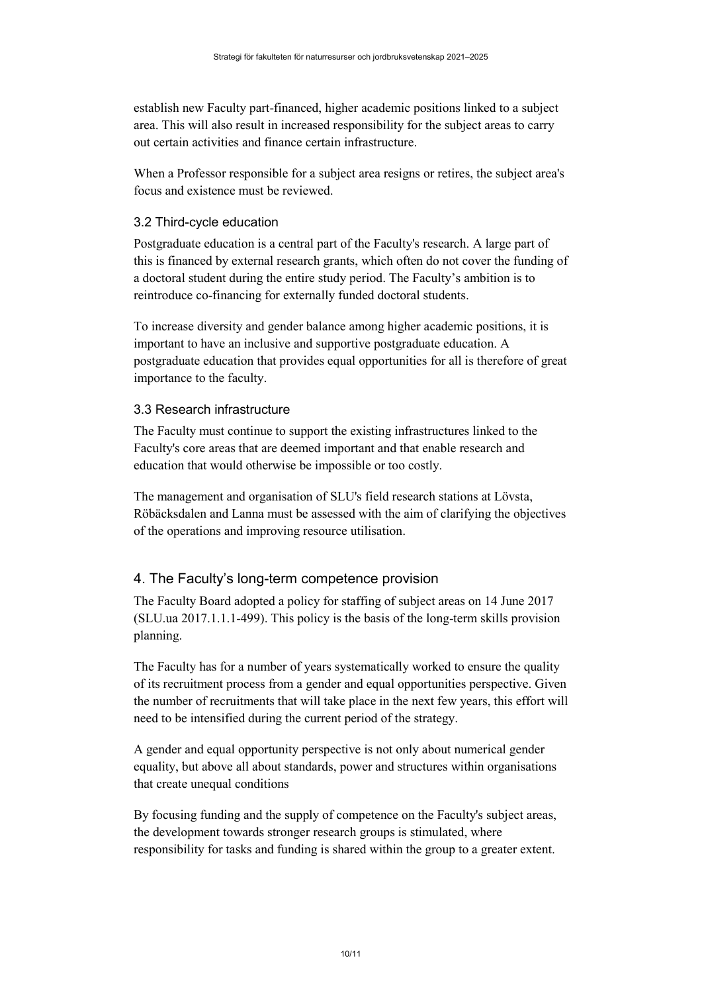establish new Faculty part-financed, higher academic positions linked to a subject area. This will also result in increased responsibility for the subject areas to carry out certain activities and finance certain infrastructure.

When a Professor responsible for a subject area resigns or retires, the subject area's focus and existence must be reviewed.

### <span id="page-9-0"></span>3.2 Third-cycle education

Postgraduate education is a central part of the Faculty's research. A large part of this is financed by external research grants, which often do not cover the funding of a doctoral student during the entire study period. The Faculty's ambition is to reintroduce co-financing for externally funded doctoral students.

To increase diversity and gender balance among higher academic positions, it is important to have an inclusive and supportive postgraduate education. A postgraduate education that provides equal opportunities for all is therefore of great importance to the faculty.

### <span id="page-9-1"></span>3.3 Research infrastructure

The Faculty must continue to support the existing infrastructures linked to the Faculty's core areas that are deemed important and that enable research and education that would otherwise be impossible or too costly.

The management and organisation of SLU's field research stations at Lövsta, Röbäcksdalen and Lanna must be assessed with the aim of clarifying the objectives of the operations and improving resource utilisation.

### <span id="page-9-2"></span>4. The Faculty's long-term competence provision

The Faculty Board adopted a policy for staffing of subject areas on 14 June 2017 (SLU.ua 2017.1.1.1-499). This policy is the basis of the long-term skills provision planning.

The Faculty has for a number of years systematically worked to ensure the quality of its recruitment process from a gender and equal opportunities perspective. Given the number of recruitments that will take place in the next few years, this effort will need to be intensified during the current period of the strategy.

A gender and equal opportunity perspective is not only about numerical gender equality, but above all about standards, power and structures within organisations that create unequal conditions

By focusing funding and the supply of competence on the Faculty's subject areas, the development towards stronger research groups is stimulated, where responsibility for tasks and funding is shared within the group to a greater extent.